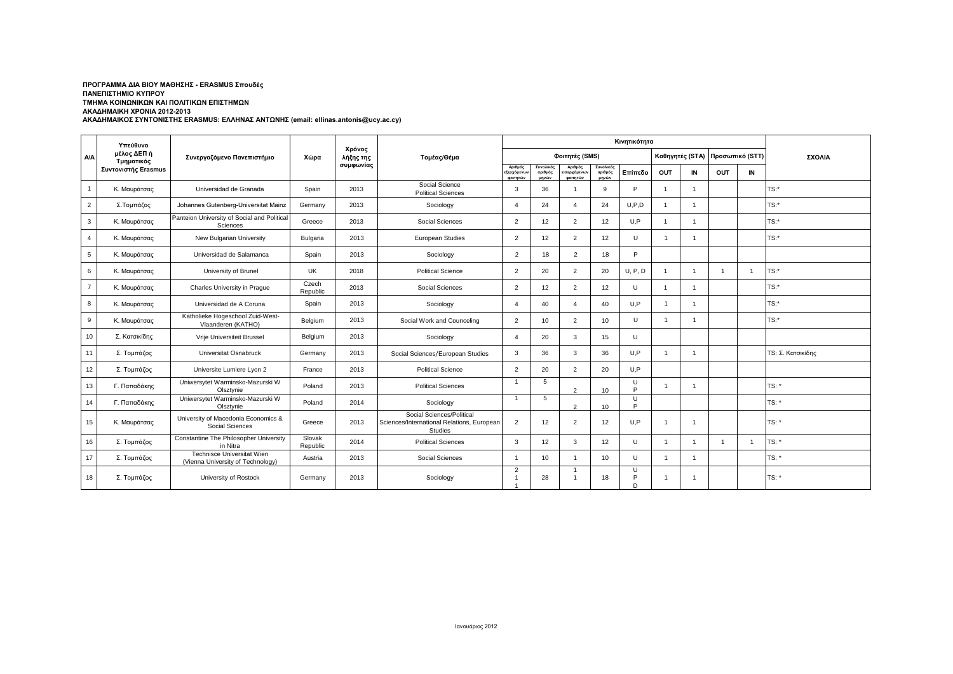## **ΑΚΑΔΗΜΑΙΚΟΣ ΣΥΝΤΟΝΙΣΤΗΣ ERASMUS: ΕΛΛΗΝΑΣ ΑΝΤΩΝΗΣ (email: ellinas.antonis@ucy.ac.cy) ΠΡΟΓΡΑΜΜΑ ΔΙΑ ΒΙΟΥ ΜΑΘΗΣΗΣ - ERASMUS Σπουδές ΠΑΝΕΠΙΣΤΗΜΙΟ ΚΥΠΡΟΥ ΤΜΗΜΑ ΚΟΙΝΩΝΙΚΩΝ ΚΑΙ ΠΟΛΙΤΙΚΩΝ ΕΠΙΣΤΗΜΩΝ ΑΚΑΔΗΜΑΙΚΗ ΧΡΟΝΙΑ 2012-2013**

|                | Υπεύθυνο<br>μέλος ΔΕΠ ή<br>Τμηματικός<br>Συντονιστής Erasmus | Συνεργαζόμενο Πανεπιστήμιο                                      |                    | Χρόνος<br>λήξης της<br>Τομέας/Θέμα |                                                                                    |                                    |                               |                                    |                               |             |                 |                |                 |    |                          |
|----------------|--------------------------------------------------------------|-----------------------------------------------------------------|--------------------|------------------------------------|------------------------------------------------------------------------------------|------------------------------------|-------------------------------|------------------------------------|-------------------------------|-------------|-----------------|----------------|-----------------|----|--------------------------|
| <b>A/A</b>     |                                                              |                                                                 | Χώρα               |                                    |                                                                                    | Φοιτητές (SMS)                     |                               |                                    |                               |             | Καθηγητές (STA) |                | Προσωπικό (STT) |    | ΣΧΟΛΙΑ                   |
|                |                                                              |                                                                 |                    | συμφωνίας                          |                                                                                    | Αριθμός<br>εξερχόμενων<br>φοιτητών | Συνολικός<br>αριθμός<br>μηνών | Αριθμός<br>ισερχόμενων<br>φοιτητών | Συνολικός<br>αριθμός<br>μηνών | Επίπεδο     | OUT             | IN             | OUT             | IN |                          |
| $\mathbf{1}$   | Κ. Μαυράτσας                                                 | Universidad de Granada                                          | Spain              | 2013                               | Social Science<br><b>Political Sciences</b>                                        | 3                                  | 36                            | -1                                 | 9                             | P           | $\mathbf{1}$    | -1             |                 |    | $TS:$ *                  |
| $\overline{2}$ | Σ.Τομπάζος                                                   | Johannes Gutenberg-Universitat Mainz                            | Germany            | 2013                               | Sociology                                                                          | $\overline{4}$                     | 24                            | $\overline{4}$                     | 24                            | U, P, D     | $\overline{1}$  | $\mathbf{1}$   |                 |    | $TS:$ *                  |
| $\mathbf{3}$   | Κ. Μαυράτσας                                                 | Panteion University of Social and Political<br>Sciences         | Greece             | 2013                               | Social Sciences                                                                    | 2                                  | 12                            | 2                                  | 12                            | U.P         | $\mathbf{1}$    | -1             |                 |    | $TS:$ *                  |
| $\overline{4}$ | Κ. Μαυράτσας                                                 | New Bulgarian University                                        | Bulgaria           | 2013                               | European Studies                                                                   | $\overline{2}$                     | 12                            | 2                                  | 12                            | $\cup$      |                 | $\mathbf{1}$   |                 |    | $TS:$ *                  |
| 5              | Κ. Μαυράτσας                                                 | Universidad de Salamanca                                        | Spain              | 2013                               | Sociology                                                                          | $\overline{2}$                     | 18                            | $\overline{2}$                     | 18                            | P           |                 |                |                 |    |                          |
| 6              | Κ. Μαυράτσας                                                 | University of Brunel                                            | <b>UK</b>          | 2018                               | <b>Political Science</b>                                                           | $\overline{2}$                     | 20                            | 2                                  | 20                            | U, P, D     | $\overline{1}$  | -1             |                 |    | TS:*                     |
| $\overline{7}$ | Κ. Μαυράτσας                                                 | Charles University in Praque                                    | Czech<br>Republic  | 2013                               | Social Sciences                                                                    | $\overline{2}$                     | 12                            | 2                                  | 12                            | U           | $\overline{1}$  | $\overline{1}$ |                 |    | $TS:$ *                  |
| 8              | Κ. Μαυράτσας                                                 | Universidad de A Coruna                                         | Spain              | 2013                               | Sociology                                                                          | $\overline{4}$                     | 40                            | $\boldsymbol{\Delta}$              | 40                            | U.P         | $\mathbf{1}$    | $\overline{1}$ |                 |    | $TS:$ *                  |
| 9              | Κ. Μαυράτσας                                                 | Katholieke Hogeschool Zuid-West-<br>Vlaanderen (KATHO)          | Belgium            | 2013                               | Social Work and Counceling                                                         | 2                                  | 10                            | 2                                  | 10                            | U           | -1              | $\mathbf{1}$   |                 |    | $TS:$ *                  |
| 10             | Σ. Κατσικίδης                                                | Vrije Universiteit Brussel                                      | Belgium            | 2013                               | Sociology                                                                          | $\overline{4}$                     | 20                            | 3                                  | 15                            | U           |                 |                |                 |    |                          |
| 11             | Σ. Τομπάζος                                                  | Universitat Osnabruck                                           | Germany            | 2013                               | Social Sciences/European Studies                                                   | 3                                  | 36                            | 3                                  | 36                            | U.P         | -1              | $\mathbf{1}$   |                 |    | <b>TS: Σ. Κατσικίδης</b> |
| 12             | Σ. Τομπάζος                                                  | Universite Lumiere Lyon 2                                       | France             | 2013                               | <b>Political Science</b>                                                           | $\overline{2}$                     | 20                            | $\overline{2}$                     | 20                            | U,P         |                 |                |                 |    |                          |
| 13             | Γ. Παπαδάκης                                                 | Uniwersytet Warminsko-Mazurski W<br>Olsztvnie                   | Poland             | 2013                               | <b>Political Sciences</b>                                                          | $\overline{1}$                     | 5                             | $\mathcal{L}$                      | 10                            | U<br>P      |                 | -1             |                 |    | TS: *                    |
| 14             | Γ. Παπαδάκης                                                 | Uniwersytet Warminsko-Mazurski W<br>Olsztynie                   | Poland             | 2014                               | Sociology                                                                          | $\overline{1}$                     | 5                             | $\overline{2}$                     | 10                            | U<br>Þ      |                 |                |                 |    | $TS:$ *                  |
| 15             | Κ. Μαυράτσας                                                 | University of Macedonia Economics &<br>Social Sciences          | Greece             | 2013                               | Social Sciences/Political<br>Sciences/International Relations, European<br>Studies | 2                                  | 12                            | 2                                  | 12                            | U,P         | -1              | $\overline{1}$ |                 |    | TS: *                    |
| 16             | Σ. Τομπάζος                                                  | Constantine The Philosopher University<br>in Nitra              | Slovak<br>Republic | 2014                               | <b>Political Sciences</b>                                                          | 3                                  | 12                            | 3                                  | 12                            | $\cup$      | $\overline{1}$  |                |                 |    | TS: *                    |
| 17             | Σ. Τομπάζος                                                  | Technisce Universitat Wien<br>(Vienna University of Technology) | Austria            | 2013                               | Social Sciences                                                                    | $\overline{1}$                     | 10 <sup>1</sup>               | -1                                 | 10                            | U           | $\overline{1}$  | $\mathbf{1}$   |                 |    | TS: *                    |
| 18             | Σ. Τομπάζος                                                  | University of Rostock                                           | Germany            | 2013                               | Sociology                                                                          | $\overline{2}$                     | 28                            | $\overline{1}$                     | 18                            | U<br>P<br>D |                 |                |                 |    | TS: *                    |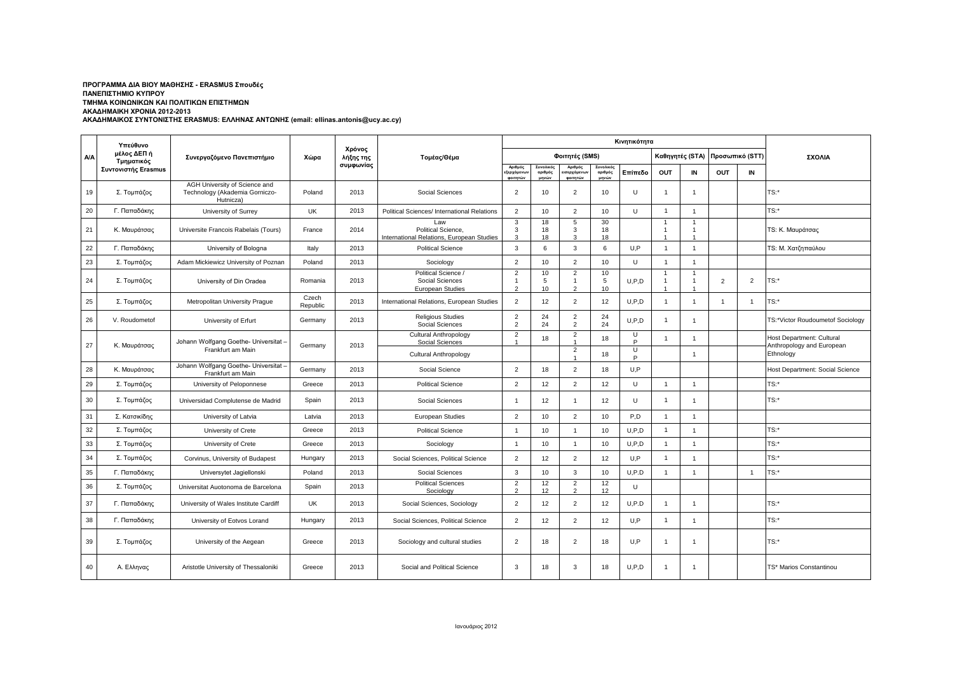## **ΑΚΑΔΗΜΑΙΚΟΣ ΣΥΝΤΟΝΙΣΤΗΣ ERASMUS: ΕΛΛΗΝΑΣ ΑΝΤΩΝΗΣ (email: ellinas.antonis@ucy.ac.cy) ΠΡΟΓΡΑΜΜΑ ΔΙΑ ΒΙΟΥ ΜΑΘΗΣΗΣ - ERASMUS Σπουδές ΠΑΝΕΠΙΣΤΗΜΙΟ ΚΥΠΡΟΥ ΤΜΗΜΑ ΚΟΙΝΩΝΙΚΩΝ ΚΑΙ ΠΟΛΙΤΙΚΩΝ ΕΠΙΣΤΗΜΩΝ ΑΚΑΔΗΜΑΙΚΗ ΧΡΟΝΙΑ 2012-2013**

|            | Υπεύθυνο<br>μέλος ΔΕΠ ή<br>Τμηματικός | Συνεργαζόμενο Πανεπιστήμιο                                                   |                   |                                  | Τομέας/Θέμα                                                            |                                                    |                               |                                                  |                               |             |                                |                                       |                 |                |                                                        |
|------------|---------------------------------------|------------------------------------------------------------------------------|-------------------|----------------------------------|------------------------------------------------------------------------|----------------------------------------------------|-------------------------------|--------------------------------------------------|-------------------------------|-------------|--------------------------------|---------------------------------------|-----------------|----------------|--------------------------------------------------------|
| <b>A/A</b> |                                       |                                                                              | Χώρα              | Χρόνος<br>λήξης της<br>συμφωνίας |                                                                        |                                                    |                               | Φοιτητές (SMS)                                   |                               |             |                                | Καθηγητές (STA)                       | Προσωπικό (STT) |                | ΣΧΟΛΙΑ                                                 |
|            | Συντονιστής Erasmus                   |                                                                              |                   |                                  |                                                                        | Αριθμός<br>:ξερχόμενω <sup>,</sup><br>φοιτητών     | Συνολικός<br>αριθμός<br>μηνών | Αριθμός<br>ισερχόμε <mark>ν</mark> ω<br>ΦΟΙΤΠΤών | Συνολικός<br>αριθμός<br>unvúw | Επίπεδο     | <b>OUT</b>                     | IN                                    | OUT             | IN             |                                                        |
| 19         | Σ. Τομπάζος                           | AGH University of Science and<br>Technology (Akademia Gorniczo-<br>Hutnicza) | Poland            | 2013                             | Social Sciences                                                        | $\overline{2}$                                     | 10                            | 2                                                | 10                            | $\cup$      | $\overline{1}$                 | $\overline{1}$                        |                 |                | $TS:$ *                                                |
| 20         | Γ. Παπαδάκης                          | University of Surrey                                                         | <b>UK</b>         | 2013                             | Political Sciences/ International Relations                            | 2                                                  | 10                            | $\overline{2}$                                   | 10                            | $\cup$      | $\overline{1}$                 | $\overline{1}$                        |                 |                | $TS:$ *                                                |
| 21         | Κ. Μαυράτσας                          | Universite Francois Rabelais (Tours)                                         | France            | 2014                             | Law<br>Political Science,<br>International Relations, European Studies | 3<br>3<br>$\mathbf{\Omega}$                        | 18<br>18<br>18                | 5<br>3<br>$\mathbf{\hat{z}}$                     | 30<br>18<br>18                |             | $\overline{1}$<br>$\mathbf{1}$ | $\mathbf 1$<br>1                      |                 |                | TS: Κ. Μαυράτσας                                       |
| 22         | Γ. Παπαδάκης                          | University of Bologna                                                        | Italy             | 2013                             | <b>Political Science</b>                                               | 3                                                  | 6                             | 3                                                | 6                             | U.P         | $\overline{1}$                 | $\overline{1}$                        |                 |                | TS: Μ. Χατζηπαύλου                                     |
| 23         | Σ. Τομπάζος                           | Adam Mickiewicz University of Poznan                                         | Poland            | 2013                             | Sociology                                                              | $\overline{2}$                                     | 10                            | $\overline{2}$                                   | 10                            | $\cup$      | $\overline{1}$                 | $\overline{1}$                        |                 |                |                                                        |
| 24         | Σ. Τομπάζος                           | University of Din Oradea                                                     | Romania           | 2013                             | Political Science /<br>Social Sciences<br><b>European Studies</b>      | $\overline{2}$<br>$\overline{1}$<br>$\overline{2}$ | 10<br>5<br>10                 | $\overline{2}$<br>$\overline{1}$<br>2            | 10<br>5<br>10                 | U, P, D     | $\overline{1}$<br>$\mathbf{1}$ | $\overline{1}$<br>$\overline{1}$<br>1 | 2               | $\overline{2}$ | $TS:$ *                                                |
| 25         | Σ. Τομπάζος                           | Metropolitan University Prague                                               | Czech<br>Republic | 2013                             | International Relations, European Studies                              | 2                                                  | 12                            | 2                                                | 12                            | U.P.D       | $\overline{1}$                 | $\mathbf{1}$                          | $\overline{1}$  | $\mathbf{1}$   | TS:*                                                   |
| 26         | V. Roudometof                         | University of Erfurt                                                         | Germany           | 2013                             | <b>Religious Studies</b><br>Social Sciences                            | $\overline{2}$<br>$\overline{2}$                   | 24<br>24                      | $\overline{2}$<br>$\overline{2}$                 | 24<br>24                      | U.P.D       | $\overline{1}$                 | $\overline{1}$                        |                 |                | TS:*Victor Roudoumetof Sociology                       |
| 27         | Κ. Μαυράτσας                          | Johann Wolfgang Goethe- Universitat<br>Frankfurt am Main                     | Germany           | 2013                             | Cultural Anthropology<br>Social Sciences                               | $\overline{2}$                                     | 18                            | $\overline{2}$<br>1<br>2                         | 18                            | U<br>P<br>U | -1                             | 1                                     |                 |                | Host Department: Cultural<br>Anthropology and European |
|            |                                       | Johann Wolfgang Goethe- Universitat                                          |                   |                                  | <b>Cultural Anthropology</b>                                           |                                                    |                               |                                                  | 18                            | Þ           |                                | $\overline{1}$                        |                 |                | Ethnology                                              |
| 28         | Κ. Μαυράτσας                          | Frankfurt am Main                                                            | Germany           | 2013                             | Social Science                                                         | $\overline{2}$                                     | 18                            | $\overline{2}$                                   | 18                            | U.P         |                                |                                       |                 |                | Host Department: Social Science                        |
| 29         | Σ. Τομπάζος                           | University of Peloponnese                                                    | Greece            | 2013                             | <b>Political Science</b>                                               | $\overline{2}$                                     | 12                            | $\overline{2}$                                   | 12                            | $\cup$      |                                | $\overline{1}$                        |                 |                | TS:*                                                   |
| 30         | Σ. Τομπάζος                           | Universidad Complutense de Madrid                                            | Spain             | 2013                             | Social Sciences                                                        | $\mathbf{1}$                                       | 12                            | $\overline{1}$                                   | 12                            | $\cup$      | $\overline{1}$                 | $\overline{1}$                        |                 |                | $TS:$ *                                                |
| 31         | Σ. Κατσικίδης                         | University of Latvia                                                         | Latvia            | 2013                             | <b>European Studies</b>                                                | $\overline{2}$                                     | 10                            | $\overline{2}$                                   | 10                            | P.D         | $\overline{1}$                 | $\overline{1}$                        |                 |                |                                                        |
| 32         | Σ. Τομπάζος                           | University of Crete                                                          | Greece            | 2013                             | <b>Political Science</b>                                               | $\overline{1}$                                     | 10                            | $\overline{1}$                                   | 10                            | U, P, D     | $\overline{1}$                 | $\overline{1}$                        |                 |                | $TS:$ *                                                |
| 33         | Σ. Τομπάζος                           | University of Crete                                                          | Greece            | 2013                             | Sociology                                                              | $\overline{1}$                                     | 10                            | $\overline{1}$                                   | 10                            | U, P, D     | $\overline{1}$                 | $\overline{1}$                        |                 |                | TS:*                                                   |
| 34         | Σ. Τομπάζος                           | Corvinus, University of Budapest                                             | Hungary           | 2013                             | Social Sciences, Political Science                                     | $\overline{2}$                                     | 12                            | $\overline{2}$                                   | 12                            | U.P         | $\overline{1}$                 | $\mathbf{1}$                          |                 |                | $TS:$ *                                                |
| 35         | Γ. Παπαδάκης                          | Universytet Jagiellonski                                                     | Poland            | 2013                             | Social Sciences                                                        | 3                                                  | 10                            | 3                                                | 10                            | U.P.D       | $\overline{1}$                 | $\overline{1}$                        |                 | $\overline{1}$ | $TS:$ *                                                |
| 36         | Σ. Τομπάζος                           | Universitat Auotonoma de Barcelona                                           | Spain             | 2013                             | <b>Political Sciences</b><br>Sociology                                 | $\overline{2}$<br>$\overline{2}$                   | 12<br>12                      | $\overline{2}$<br>$\overline{2}$                 | 12<br>12                      | U           |                                |                                       |                 |                |                                                        |
| 37         | Γ. Παπαδάκης                          | University of Wales Institute Cardiff                                        | UK                | 2013                             | Social Sciences, Sociology                                             | $\overline{2}$                                     | 12                            | 2                                                | 12                            | U.P.D       | -1                             | $\mathbf{1}$                          |                 |                | $TS:$ *                                                |
| 38         | Γ. Παπαδάκης                          | University of Eotvos Lorand                                                  | Hungary           | 2013                             | Social Sciences, Political Science                                     | $\overline{2}$                                     | 12                            | $\overline{2}$                                   | 12                            | U.P         | -1                             | -1                                    |                 |                | $TS:$ *                                                |
| 39         | Σ. Τομπάζος                           | University of the Aegean                                                     | Greece            | 2013                             | Sociology and cultural studies                                         | $\overline{2}$                                     | 18                            | $\overline{2}$                                   | 18                            | U.P         | -1                             | -1                                    |                 |                | $TS:$ *                                                |
| 40         | Α. Ελληνας                            | Aristotle University of Thessaloniki                                         | Greece            | 2013                             | Social and Political Science                                           | 3                                                  | 18                            | 3                                                | 18                            | U.P.D       | $\overline{1}$                 | $\mathbf{1}$                          |                 |                | TS* Marios Constantinou                                |